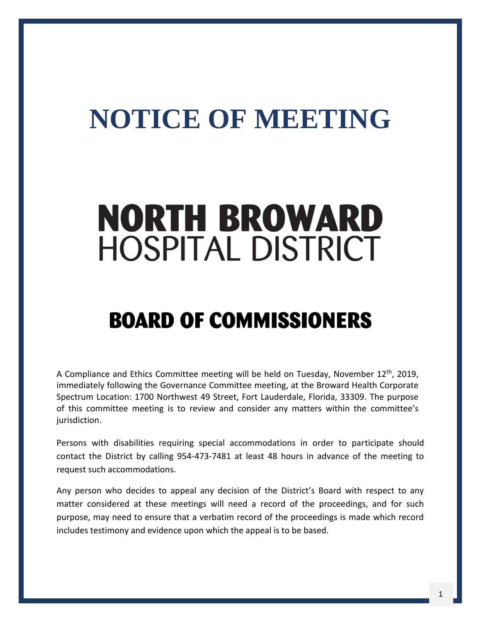## **NOTICE OF MEETING**

# **NORTH BROWARD HOSPITAL DISTRICT**

### **BOARD OF COMMISSIONERS**

A Compliance and Ethics Committee meeting will be held on Tuesday, November 12<sup>th</sup>, 2019, immediately following the Governance Committee meeting, at the Broward Health Corporate Spectrum Location: 1700 Northwest 49 Street, Fort Lauderdale, Florida, 33309. The purpose of this committee meeting is to review and consider any matters within the committee's jurisdiction.

Persons with disabilities requiring special accommodations in order to participate should contact the District by calling 954-473-7481 at least 48 hours in advance of the meeting to request such accommodations.

Any person who decides to appeal any decision of the District's Board with respect to any matter considered at these meetings will need a record of the proceedings, and for such purpose, may need to ensure that a verbatim record of the proceedings is made which record includes testimony and evidence upon which the appeal is to be based.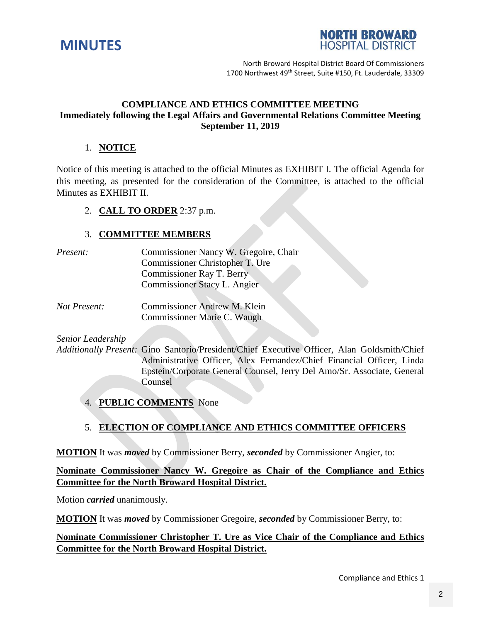



North Broward Hospital District Board Of Commissioners 1700 Northwest 49<sup>th</sup> Street, Suite #150, Ft. Lauderdale, 33309

#### **COMPLIANCE AND ETHICS COMMITTEE MEETING Immediately following the Legal Affairs and Governmental Relations Committee Meeting September 11, 2019**

#### 1. **NOTICE**

Notice of this meeting is attached to the official Minutes as EXHIBIT I. The official Agenda for this meeting, as presented for the consideration of the Committee, is attached to the official Minutes as EXHIBIT II.

#### 2. **CALL TO ORDER** 2:37 p.m.

#### 3. **COMMITTEE MEMBERS**

| <i>Present:</i> | Commissioner Nancy W. Gregoire, Chair |
|-----------------|---------------------------------------|
|                 | Commissioner Christopher T. Ure       |
|                 | Commissioner Ray T. Berry             |
|                 | Commissioner Stacy L. Angier          |
|                 |                                       |

*Not Present:* Commissioner Andrew M. Klein Commissioner Marie C. Waugh

*Senior Leadership*

*Additionally Present:* Gino Santorio/President/Chief Executive Officer, Alan Goldsmith/Chief Administrative Officer, Alex Fernandez/Chief Financial Officer, Linda Epstein/Corporate General Counsel, Jerry Del Amo/Sr. Associate, General Counsel

4. **PUBLIC COMMENTS** None

#### 5. **ELECTION OF COMPLIANCE AND ETHICS COMMITTEE OFFICERS**

**MOTION** It was *moved* by Commissioner Berry, *seconded* by Commissioner Angier, to:

**Nominate Commissioner Nancy W. Gregoire as Chair of the Compliance and Ethics Committee for the North Broward Hospital District.**

Motion *carried* unanimously.

**MOTION** It was *moved* by Commissioner Gregoire, *seconded* by Commissioner Berry, to:

#### **Nominate Commissioner Christopher T. Ure as Vice Chair of the Compliance and Ethics Committee for the North Broward Hospital District.**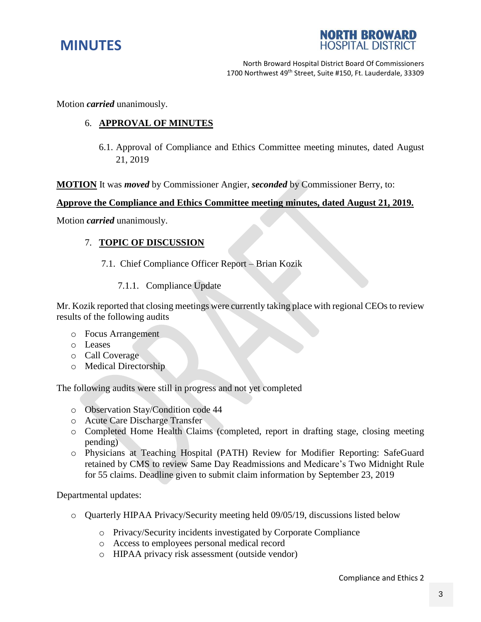



North Broward Hospital District Board Of Commissioners 1700 Northwest 49<sup>th</sup> Street, Suite #150, Ft. Lauderdale, 33309

Motion *carried* unanimously.

#### 6. **APPROVAL OF MINUTES**

6.1. Approval of Compliance and Ethics Committee meeting minutes, dated August 21, 2019

**MOTION** It was *moved* by Commissioner Angier, *seconded* by Commissioner Berry, to:

#### **Approve the Compliance and Ethics Committee meeting minutes, dated August 21, 2019.**

Motion *carried* unanimously.

#### 7. **TOPIC OF DISCUSSION**

- 7.1. Chief Compliance Officer Report Brian Kozik
	- 7.1.1. Compliance Update

Mr. Kozik reported that closing meetings were currently taking place with regional CEOs to review results of the following audits

- o Focus Arrangement
- o Leases
- o Call Coverage
- o Medical Directorship

The following audits were still in progress and not yet completed

- o Observation Stay/Condition code 44
- o Acute Care Discharge Transfer
- o Completed Home Health Claims (completed, report in drafting stage, closing meeting pending)
- o Physicians at Teaching Hospital (PATH) Review for Modifier Reporting: SafeGuard retained by CMS to review Same Day Readmissions and Medicare's Two Midnight Rule for 55 claims. Deadline given to submit claim information by September 23, 2019

Departmental updates:

- o Quarterly HIPAA Privacy/Security meeting held 09/05/19, discussions listed below
	- o Privacy/Security incidents investigated by Corporate Compliance
	- o Access to employees personal medical record
	- o HIPAA privacy risk assessment (outside vendor)